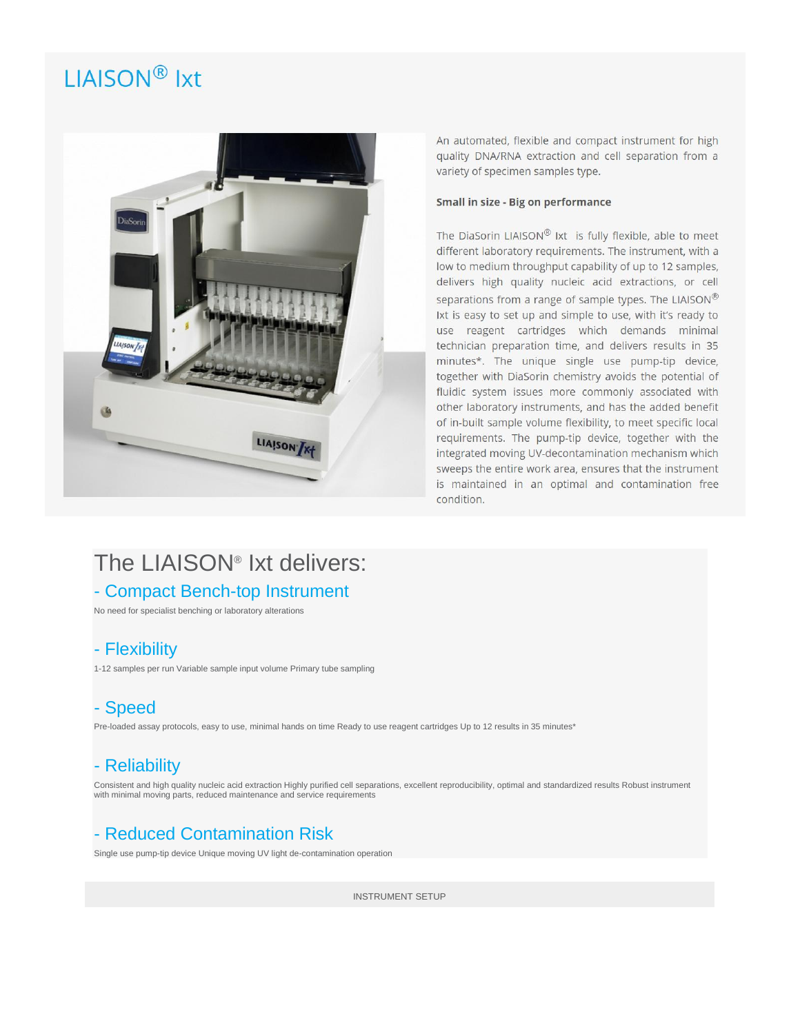# LIAISON<sup>®</sup> Ixt



An automated, flexible and compact instrument for high quality DNA/RNA extraction and cell separation from a variety of specimen samples type.

#### **Small in size - Big on performance**

The DiaSorin LIAISON® Ixt is fully flexible, able to meet different laboratory requirements. The instrument, with a low to medium throughput capability of up to 12 samples, delivers high quality nucleic acid extractions, or cell separations from a range of sample types. The LIAISON® Ixt is easy to set up and simple to use, with it's ready to use reagent cartridges which demands minimal technician preparation time, and delivers results in 35 minutes\*. The unique single use pump-tip device, together with DiaSorin chemistry avoids the potential of fluidic system issues more commonly associated with other laboratory instruments, and has the added benefit of in-built sample volume flexibility, to meet specific local requirements. The pump-tip device, together with the integrated moving UV-decontamination mechanism which sweeps the entire work area, ensures that the instrument is maintained in an optimal and contamination free condition.

## The LIAISON® Ixt delivers:

### - Compact Bench-top Instrument

No need for specialist benching or laboratory alterations

### - Flexibility

1-12 samples per run Variable sample input volume Primary tube sampling

### - Speed

Pre-loaded assay protocols, easy to use, minimal hands on time Ready to use reagent cartridges Up to 12 results in 35 minutes\*

## - Reliability

Consistent and high quality nucleic acid extraction Highly purified cell separations, excellent reproducibility, optimal and standardized results Robust instrument with minimal moving parts, reduced maintenance and service requirements

## - Reduced Contamination Risk

Single use pump-tip device Unique moving UV light de-contamination operation

INSTRUMENT SETUP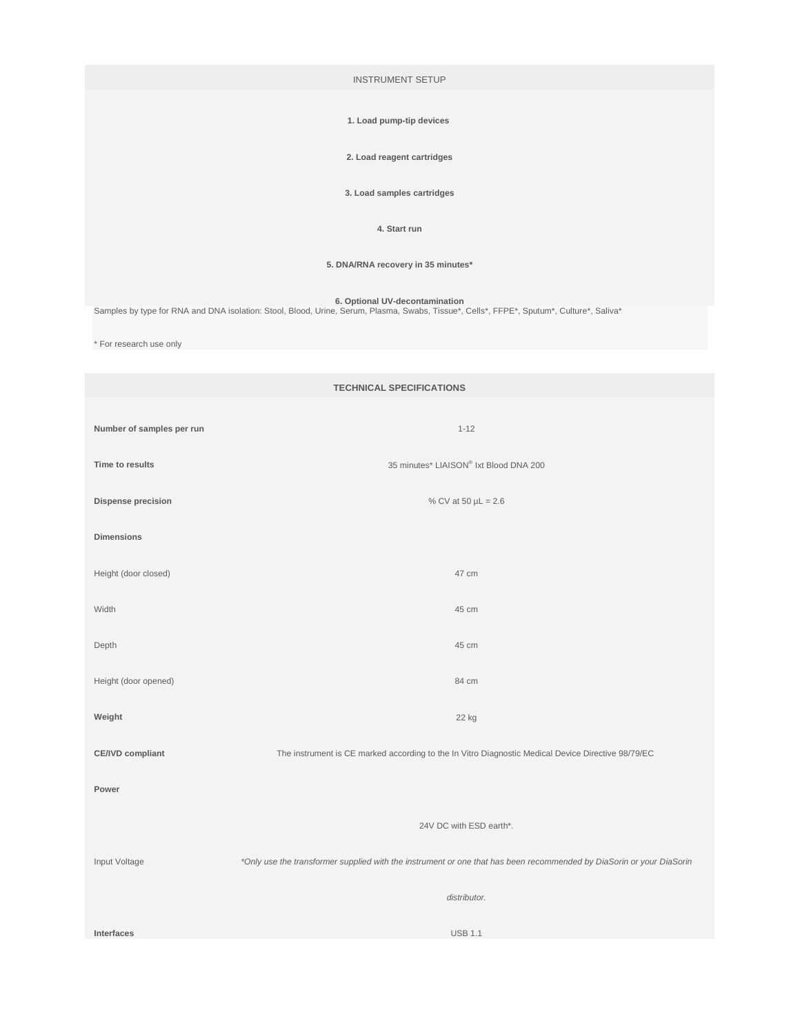INSTRUMENT SETUP

#### **1. Load pump-tip devices**

**2. Load reagent cartridges**

**3. Load samples cartridges**

#### **4. Start run**

**5. DNA/RNA recovery in 35 minutes\***

**6. Optional UV-decontamination**<br>\*Samples by type for RNA and DNA isolation: Stool, Blood, Urine, Serum, Plasma, Swabs, Tissue\*, Cells\*, FFPE\*, Sputum\*, Culture\*, Saliva

\* For research use only

| <b>TECHNICAL SPECIFICATIONS</b> |                                                                                                                      |  |
|---------------------------------|----------------------------------------------------------------------------------------------------------------------|--|
| Number of samples per run       | $1 - 12$                                                                                                             |  |
| Time to results                 | 35 minutes* LIAISON® Ixt Blood DNA 200                                                                               |  |
| Dispense precision              | % CV at 50 $\mu$ L = 2.6                                                                                             |  |
| <b>Dimensions</b>               |                                                                                                                      |  |
| Height (door closed)            | 47 cm                                                                                                                |  |
| Width                           | 45 cm                                                                                                                |  |
| Depth                           | 45 cm                                                                                                                |  |
| Height (door opened)            | 84 cm                                                                                                                |  |
| Weight                          | 22 kg                                                                                                                |  |
| <b>CE/IVD compliant</b>         | The instrument is CE marked according to the In Vitro Diagnostic Medical Device Directive 98/79/EC                   |  |
| Power                           |                                                                                                                      |  |
|                                 | 24V DC with ESD earth*.                                                                                              |  |
| Input Voltage                   | *Only use the transformer supplied with the instrument or one that has been recommended by DiaSorin or your DiaSorin |  |
|                                 | distributor.                                                                                                         |  |
| Interfaces                      | <b>USB 1.1</b>                                                                                                       |  |